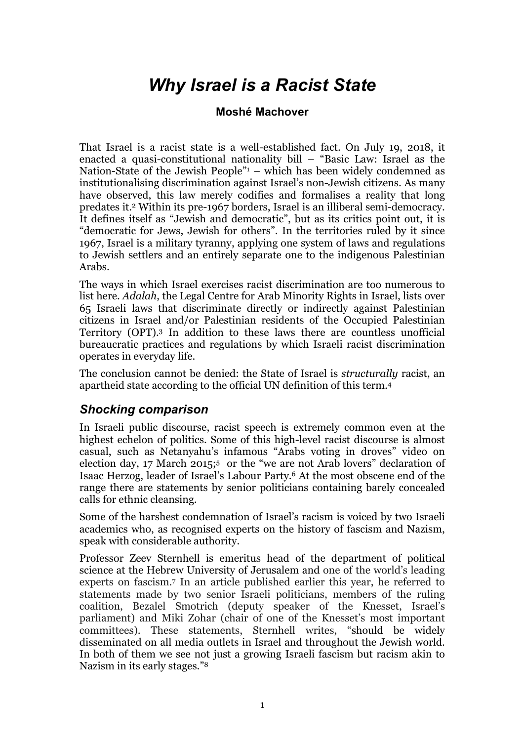## *Why Israel is a Racist State*

## **Moshé Machover**

That Israel is a racist state is a well-established fact. On July 19, 2018, it enacted a quasi-constitutional nationality bill – "Basic Law: Israel as the Nation-State of the Jewish People"1 – which has been widely condemned as institutionalising discrimination against Israel's non-Jewish citizens. As many have observed, this law merely codifies and formalises a reality that long predates it.2 Within its pre-1967 borders, Israel is an illiberal semi-democracy. It defines itself as "Jewish and democratic", but as its critics point out, it is "democratic for Jews, Jewish for others". In the territories ruled by it since 1967, Israel is a military tyranny, applying one system of laws and regulations to Jewish settlers and an entirely separate one to the indigenous Palestinian Arabs.

The ways in which Israel exercises racist discrimination are too numerous to list here. *Adalah*, the Legal Centre for Arab Minority Rights in Israel, lists over 65 Israeli laws that discriminate directly or indirectly against Palestinian citizens in Israel and/or Palestinian residents of the Occupied Palestinian Territory (OPT). <sup>3</sup> In addition to these laws there are countless unofficial bureaucratic practices and regulations by which Israeli racist discrimination operates in everyday life.

The conclusion cannot be denied: the State of Israel is *structurally* racist, an apartheid state according to the official UN definition of this term.4

## *Shocking comparison*

In Israeli public discourse, racist speech is extremely common even at the highest echelon of politics. Some of this high-level racist discourse is almost casual, such as Netanyahu's infamous "Arabs voting in droves" video on election day, 17 March 2015;<sup>5</sup> or the "we are not Arab lovers" declaration of Isaac Herzog, leader of Israel's Labour Party.6 At the most obscene end of the range there are statements by senior politicians containing barely concealed calls for ethnic cleansing.

Some of the harshest condemnation of Israel's racism is voiced by two Israeli academics who, as recognised experts on the history of fascism and Nazism, speak with considerable authority.

Professor Zeev Sternhell is emeritus head of the department of political science at the Hebrew University of Jerusalem and one of the world's leading experts on fascism.7 In an article published earlier this year, he referred to statements made by two senior Israeli politicians, members of the ruling coalition, Bezalel Smotrich (deputy speaker of the Knesset, Israel's parliament) and Miki Zohar (chair of one of the Knesset's most important committees). These statements, Sternhell writes, "should be widely disseminated on all media outlets in Israel and throughout the Jewish world. In both of them we see not just a growing Israeli fascism but racism akin to Nazism in its early stages."8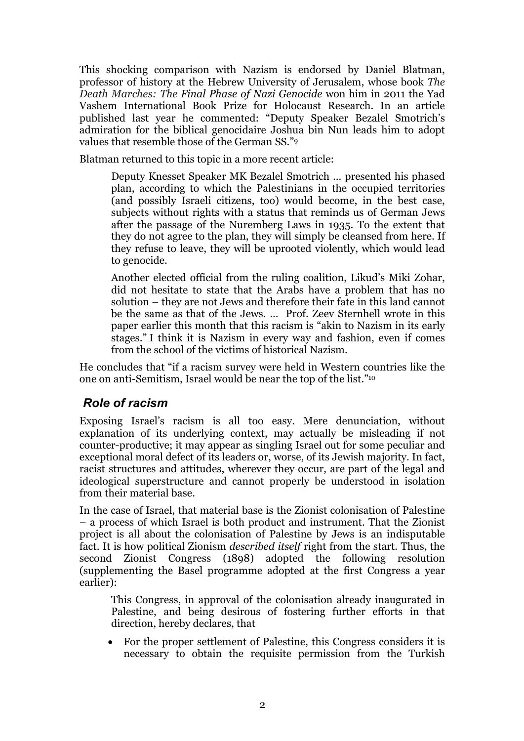This shocking comparison with Nazism is endorsed by Daniel Blatman, professor of history at the Hebrew University of Jerusalem, whose book *The Death Marches: The Final Phase of Nazi Genocide* won him in 2011 the Yad Vashem International Book Prize for Holocaust Research. In an article published last year he commented: "Deputy Speaker Bezalel Smotrich's admiration for the biblical genocidaire Joshua bin Nun leads him to adopt values that resemble those of the German SS."9

Blatman returned to this topic in a more recent article:

Deputy Knesset Speaker MK Bezalel Smotrich … presented his phased plan, according to which the Palestinians in the occupied territories (and possibly Israeli citizens, too) would become, in the best case, subjects without rights with a status that reminds us of German Jews after the passage of the Nuremberg Laws in 1935. To the extent that they do not agree to the plan, they will simply be cleansed from here. If they refuse to leave, they will be uprooted violently, which would lead to genocide.

Another elected official from the ruling coalition, Likud's Miki Zohar, did not hesitate to state that the Arabs have a problem that has no solution – they are not Jews and therefore their fate in this land cannot be the same as that of the Jews. … Prof. Zeev Sternhell wrote in this paper earlier this month that this racism is "akin to Nazism in its early stages." I think it is Nazism in every way and fashion, even if comes from the school of the victims of historical Nazism.

He concludes that "if a racism survey were held in Western countries like the one on anti-Semitism, Israel would be near the top of the list."10

## *Role of racism*

Exposing Israel's racism is all too easy. Mere denunciation, without explanation of its underlying context, may actually be misleading if not counter-productive; it may appear as singling Israel out for some peculiar and exceptional moral defect of its leaders or, worse, of its Jewish majority. In fact, racist structures and attitudes, wherever they occur, are part of the legal and ideological superstructure and cannot properly be understood in isolation from their material base.

In the case of Israel, that material base is the Zionist colonisation of Palestine – a process of which Israel is both product and instrument. That the Zionist project is all about the colonisation of Palestine by Jews is an indisputable fact. It is how political Zionism *described itself* right from the start. Thus, the second Zionist Congress (1898) adopted the following resolution (supplementing the Basel programme adopted at the first Congress a year earlier):

This Congress, in approval of the colonisation already inaugurated in Palestine, and being desirous of fostering further efforts in that direction, hereby declares, that

• For the proper settlement of Palestine, this Congress considers it is necessary to obtain the requisite permission from the Turkish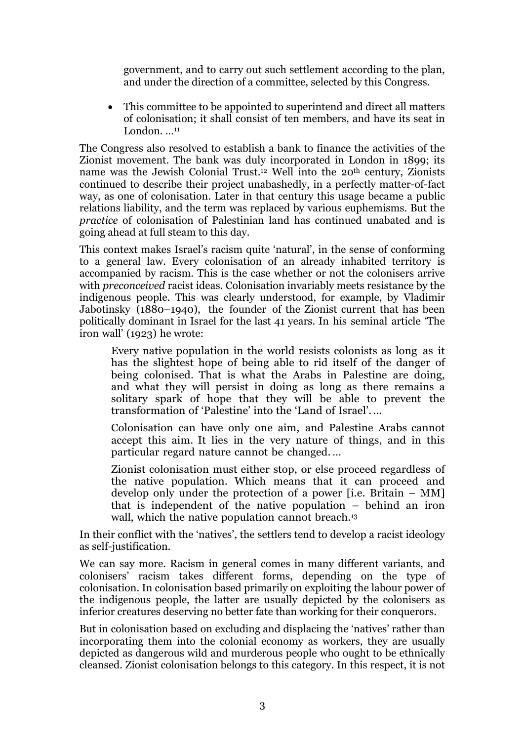government, and to carry out such settlement according to the plan, and under the direction of a committee, selected by this Congress.

• This committee to be appointed to superintend and direct all matters of colonisation; it shall consist of ten members, and have its seat in London. ...<sup>11</sup>

The Congress also resolved to establish a bank to finance the activities of the Zionist movement. The bank was duly incorporated in London in 1899; its name was the Jewish Colonial Trust.12 Well into the 20th century, Zionists continued to describe their project unabashedly, in a perfectly matter-of-fact way, as one of colonisation. Later in that century this usage became a public relations liability, and the term was replaced by various euphemisms. But the *practice* of colonisation of Palestinian land has continued unabated and is going ahead at full steam to this day.

This context makes Israel's racism quite 'natural', in the sense of conforming to a general law. Every colonisation of an already inhabited territory is accompanied by racism. This is the case whether or not the colonisers arrive with *preconceived* racist ideas. Colonisation invariably meets resistance by the indigenous people. This was clearly understood, for example, by Vladimir Jabotinsky (1880–1940), the founder of the Zionist current that has been politically dominant in Israel for the last 41 years. In his seminal article 'The iron wall' (1923) he wrote:

Every native population in the world resists colonists as long as it has the slightest hope of being able to rid itself of the danger of being colonised. That is what the Arabs in Palestine are doing, and what they will persist in doing as long as there remains a solitary spark of hope that they will be able to prevent the transformation of 'Palestine' into the 'Land of Israel'. …

Colonisation can have only one aim, and Palestine Arabs cannot accept this aim. It lies in the very nature of things, and in this particular regard nature cannot be changed. …

Zionist colonisation must either stop, or else proceed regardless of the native population. Which means that it can proceed and develop only under the protection of a power [i.e. Britain – MM] that is independent of the native population – behind an iron wall, which the native population cannot breach.<sup>13</sup>

In their conflict with the 'natives', the settlers tend to develop a racist ideology as self-justification.

We can say more. Racism in general comes in many different variants, and colonisers' racism takes different forms, depending on the type of colonisation. In colonisation based primarily on exploiting the labour power of the indigenous people, the latter are usually depicted by the colonisers as inferior creatures deserving no better fate than working for their conquerors.

But in colonisation based on excluding and displacing the 'natives' rather than incorporating them into the colonial economy as workers, they are usually depicted as dangerous wild and murderous people who ought to be ethnically cleansed. Zionist colonisation belongs to this category. In this respect, it is not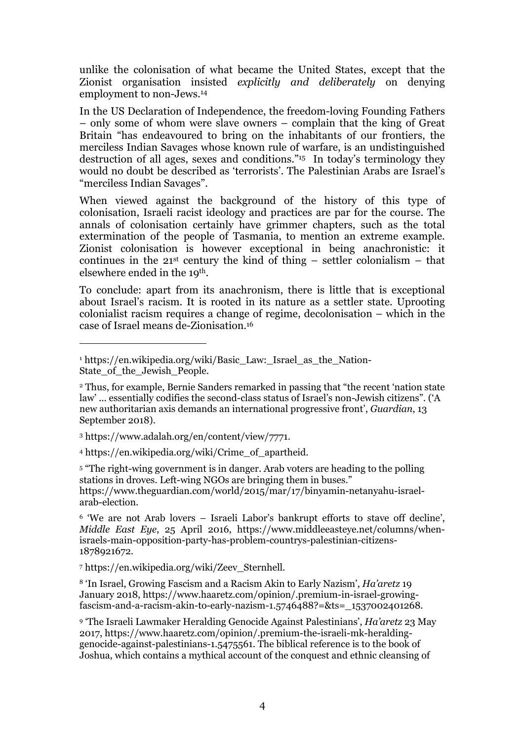unlike the colonisation of what became the United States, except that the Zionist organisation insisted *explicitly and deliberately* on denying employment to non-Jews.14

In the US Declaration of Independence, the freedom-loving Founding Fathers – only some of whom were slave owners – complain that the king of Great Britain "has endeavoured to bring on the inhabitants of our frontiers, the merciless Indian Savages whose known rule of warfare, is an undistinguished destruction of all ages, sexes and conditions."15 In today's terminology they would no doubt be described as 'terrorists'. The Palestinian Arabs are Israel's "merciless Indian Savages".

When viewed against the background of the history of this type of colonisation, Israeli racist ideology and practices are par for the course. The annals of colonisation certainly have grimmer chapters, such as the total extermination of the people of Tasmania, to mention an extreme example. Zionist colonisation is however exceptional in being anachronistic: it continues in the  $21^{st}$  century the kind of thing – settler colonialism – that elsewhere ended in the 19th.

To conclude: apart from its anachronism, there is little that is exceptional about Israel's racism. It is rooted in its nature as a settler state. Uprooting colonialist racism requires a change of regime, decolonisation – which in the case of Israel means de-Zionisation.16

<sup>3</sup> https://www.adalah.org/en/content/view/7771.

-

<sup>4</sup> https://en.wikipedia.org/wiki/Crime\_of\_apartheid.

<sup>5</sup> "The right-wing government is in danger. Arab voters are heading to the polling stations in droves. Left-wing NGOs are bringing them in buses." https://www.theguardian.com/world/2015/mar/17/binyamin-netanyahu-israelarab-election.

<sup>6</sup> 'We are not Arab lovers – Israeli Labor's bankrupt efforts to stave off decline', *Middle East Eye*, 25 April 2016, https://www.middleeasteye.net/columns/whenisraels-main-opposition-party-has-problem-countrys-palestinian-citizens-1878921672.

<sup>7</sup> https://en.wikipedia.org/wiki/Zeev\_Sternhell.

<sup>8</sup> 'In Israel, Growing Fascism and a Racism Akin to Early Nazism', *Ha'aretz* 19 January 2018, https://www.haaretz.com/opinion/.premium-in-israel-growingfascism-and-a-racism-akin-to-early-nazism-1.5746488?=&ts=\_1537002401268.

<sup>9</sup> 'The Israeli Lawmaker Heralding Genocide Against Palestinians', *Ha'aretz* 23 May 2017, https://www.haaretz.com/opinion/.premium-the-israeli-mk-heraldinggenocide-against-palestinians-1.5475561. The biblical reference is to the book of Joshua, which contains a mythical account of the conquest and ethnic cleansing of

<sup>&</sup>lt;sup>1</sup> https://en.wikipedia.org/wiki/Basic\_Law:\_Israel\_as\_the\_Nation-State of the Jewish People.

<sup>2</sup> Thus, for example, Bernie Sanders remarked in passing that "the recent 'nation state law' ... essentially codifies the second-class status of Israel's non-Jewish citizens". ('A new authoritarian axis demands an international progressive front', *Guardian*, 13 September 2018).